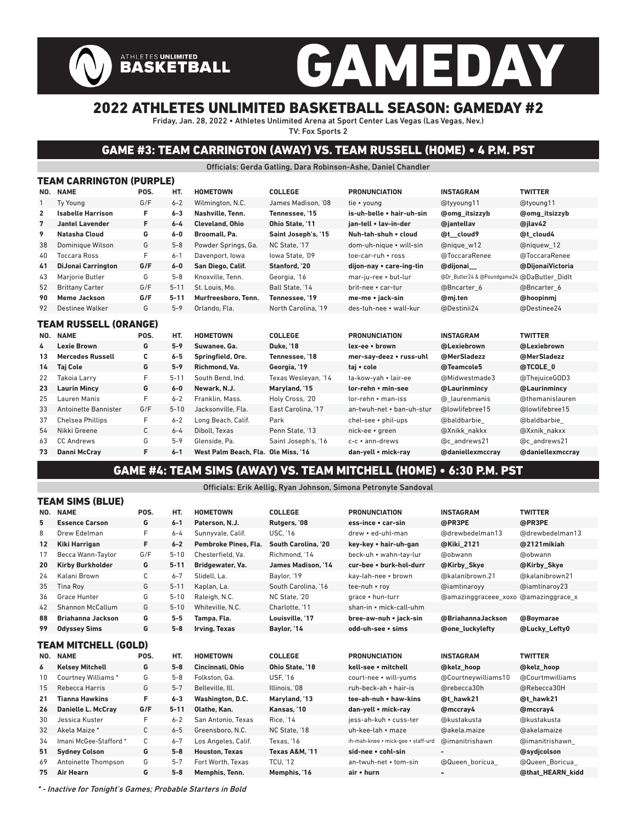# GAMEDAY ATHLETES UNLIMITED<br>BASKETBALL

### 2022 ATHLETES UNLIMITED BASKETBALL SEASON: GAMEDAY #2

Friday, Jan. 28, 2022 • Athletes Unlimited Arena at Sport Center Las Vegas (Las Vegas, Nev.) TV: Fox Sports 2

### GAME #3: TEAM CARRINGTON (AWAY) VS. TEAM RUSSELL (HOME) • 4 P.M. PST

Officials: Gerda Gatling, Dara Robinson-Ashe, Daniel Chandler

|                | TEAM CARRINGTON (PURPLE)     |      |          |                        |                     |                           |                                             |                      |
|----------------|------------------------------|------|----------|------------------------|---------------------|---------------------------|---------------------------------------------|----------------------|
| NO.            | <b>NAME</b>                  | POS. | HT.      | <b>HOMETOWN</b>        | <b>COLLEGE</b>      | <b>PRONUNCIATION</b>      | <b>INSTAGRAM</b>                            | <b>TWITTER</b>       |
| $\mathbf{1}$   | <b>Tv Young</b>              | G/F  | $6 - 2$  | Wilmington, N.C.       | James Madison. '08  | tie • voung               | @tyyoung11                                  | @tyoung11            |
| 2              | <b>Isabelle Harrison</b>     | F    | $6 - 3$  | Nashville, Tenn.       | Tennessee. '15      | is-uh-belle • hair-uh-sin | <b>@omg</b> itsizzyb                        | <b>@omg</b> itsizzyb |
| $\overline{7}$ | <b>Jantel Lavender</b>       | F    | $6 - 4$  | <b>Cleveland, Ohio</b> | Ohio State. '11     | ian-tell • lav-in-der     | @jantellav                                  | @jlav42              |
| 9              | Natasha Cloud                | G    | $6-0$    | Broomall, Pa.          | Saint Joseph's, '15 | Nuh-tah-shuh • cloud      | @t_cloud9                                   | @t cloud4            |
| 38             | Dominique Wilson             | G    | $5 - 8$  | Powder Springs, Ga.    | NC State, '17       | dom-uh-nique · will-sin   | @nique w12                                  | @niquew 12           |
| 40             | <b>Toccara Ross</b>          | F    | $6 - 1$  | Davenport, Iowa        | lowa State. '09     | toe-car-ruh • ross        | @ToccaraRenee                               | @ToccaraRenee        |
| 41             | <b>DiJonai Carrington</b>    | G/F  | $6-0$    | San Diego, Calif.      | Stanford, '20       | dijon-nay • care-ing-tin  | @dijonai                                    | @DijonaiVictoria     |
| 43             | Marjorie Butler              | G    | $5 - 8$  | Knoxville, Tenn.       | Georgia, '16        | mar-ju-ree • but-lur      | @Dr_Butler24 & @Poundgame24 @DaButler Didlt |                      |
| 52             | <b>Brittany Carter</b>       | G/F  | $5 - 11$ | St. Louis. Mo.         | Ball State, '14     | brit-nee • car-tur        | @Bncarter 6                                 | @Bncarter 6          |
| 90             | <b>Meme Jackson</b>          | G/F  | $5 - 11$ | Murfreesboro. Tenn.    | Tennessee. '19      | me-me • jack-sin          | @mj.ten                                     | @hoopinmj            |
| 92             | Destinee Walker              | G    | $5 - 9$  | Orlando, Fla.          | North Carolina, '19 | des-tuh-nee • wall-kur    | @Destinii24                                 | @Destinee24          |
|                | <b>TEAM RUSSELL (ORANGE)</b> |      |          |                        |                     |                           |                                             |                      |
| NO.            | <b>NAME</b>                  | POS. | HT.      | <b>HOMETOWN</b>        | <b>COLLEGE</b>      | <b>PRONUNCIATION</b>      | <b>INSTAGRAM</b>                            | <b>TWITTER</b>       |
| 4              | <b>Lexie Brown</b>           | G    | $5 - 9$  | Suwanee, Ga.           | <b>Duke. '18</b>    | lex-ee · brown            | @Lexiebrown                                 | @Lexiebrown          |
| 13             | <b>Mercedes Russell</b>      | C    | $6-5$    | Springfield, Ore.      | Tennessee. '18      | mer-say-deez • russ-uhl   | @MerSladezz                                 | @MerSladezz          |
| 14             | <b>Taj Cole</b>              | G    | $5-9$    | Richmond, Va.          | Georgia, '19        | taj • cole                | @Teamcole5                                  | @TCOLE 0             |
| 22             | <b>Takoia Larry</b>          | F    | $5 - 11$ | South Bend, Ind.       | Texas Wesleyan, '14 | ta-kow-yah • lair-ee      | @Midwestmade3                               | @ThejuiceGOD3        |
| 23             | <b>Laurin Mincy</b>          |      |          |                        |                     |                           |                                             |                      |
|                |                              | G    | $6-0$    | Newark, N.J.           | Maryland, '15       | lor-rehn • min-see        | @Laurinmincy                                | @Laurinmincy         |
| 25             | Lauren Manis                 | F    | $6 - 2$  | Franklin, Mass.        | Holy Cross, '20     | lor-rehn • man-iss        | @ laurenmanis                               | @themanislauren      |
| 33             | Antoinette Bannister         | G/F  | $5 - 10$ | Jacksonville, Fla.     | East Carolina. '17  | an-twuh-net • ban-uh-stur | @lowlifebree15                              | @lowlifebree15       |
| 37             | <b>Chelsea Phillips</b>      | F    | $6 - 2$  | Long Beach, Calif.     | Park                | chel-see • phil-ups       | @baldbarbie                                 | @baldbarbie          |
| 54             | Nikki Greene                 | C    | $6 - 4$  | Diboll. Texas          | Penn State. '13     | nick-ee • green           | @Xnikk nakkx                                | @Xxnik nakxx         |
| 63             | <b>CC Andrews</b>            | G    | $5 - 9$  | Glenside, Pa.          | Saint Joseph's, '16 | $c-c$ • ann-drews         | @c andrews21                                | @c andrews21         |

### GAME #4: TEAM SIMS (AWAY) VS. TEAM MITCHELL (HOME) • 6:30 P.M. PST

Officials: Erik Aellig, Ryan Johnson, Simona Petronyte Sandoval

|     | I EAM SIMS (BLUE)          |              |          |                       |                     |                                    |                                      |                  |
|-----|----------------------------|--------------|----------|-----------------------|---------------------|------------------------------------|--------------------------------------|------------------|
| NO. | <b>NAME</b>                | POS.         | HT.      | <b>HOMETOWN</b>       | <b>COLLEGE</b>      | <b>PRONUNCIATION</b>               | <b>INSTAGRAM</b>                     | <b>TWITTER</b>   |
| 5   | <b>Essence Carson</b>      | G            | $6 - 1$  | Paterson, N.J.        | Rutgers, '08        | ess-ince • car-sin                 | @PR3PE                               | @PR3PE           |
| 8   | Drew Edelman               | F            | $6 - 4$  | Sunnyvale, Calif.     | <b>USC, '16</b>     | drew • ed-uhl-man                  | @drewbedelman13                      | @drewbedelman13  |
| 12  | Kiki Harrigan              | F            | $6 - 2$  | Pembroke Pines, Fla.  | South Carolina. '20 | key-key • hair-uh-gan              | @Kiki 2121                           | @2121mikiah      |
| 17  | Becca Wann-Taylor          | G/F          | $5 - 10$ | Chesterfield, Va.     | Richmond. '14       | beck-uh • wahn-tay-lur             | @obwann                              | @obwann          |
| 20  | <b>Kirby Burkholder</b>    | G            | $5 - 11$ | Bridgewater, Va.      | James Madison, '14  | cur-bee • burk-hol-durr            | @Kirby Skye                          | @Kirby Skye      |
| 24  | Kalani Brown               | С            | $6 - 7$  | Slidell. La.          | Baylor, '19         | kay-lah-nee • brown                | @kalanibrown.21                      | @kalanibrown21   |
| 35  | <b>Tina Roy</b>            | G            | $5 - 11$ | Kaplan, La.           | South Carolina, '16 | tee-nuh • roy                      | @iamtinaroyy                         | @iamtinaroy23    |
| 36  | <b>Grace Hunter</b>        | G            | $5 - 10$ | Raleigh, N.C.         | NC State, '20       | grace . hun-turr                   | @amazinggraceee_xoxo @amazinggrace_x |                  |
| 42  | Shannon McCallum           | G            | $5 - 10$ | Whiteville, N.C.      | Charlotte. '11      | shan-in • mick-call-uhm            |                                      |                  |
| 88  | Briahanna Jackson          | G            | $5 - 5$  | Tampa, Fla.           | Louisville. '17     | bree-aw-nuh • jack-sin             | @BriahannaJackson                    | @Boymarae        |
| 99  | <b>Odyssey Sims</b>        | G            | $5 - 8$  | Irving, Texas         | Baylor, '14         | odd-uh-see · sims                  | <b>@one luckylefty</b>               | @Lucky Lefty0    |
|     | TEAM MITCHELL (GOLD)       |              |          |                       |                     |                                    |                                      |                  |
| NO. | <b>NAME</b>                | POS.         | HT.      | <b>HOMETOWN</b>       | <b>COLLEGE</b>      | <b>PRONUNCIATION</b>               | <b>INSTAGRAM</b>                     | <b>TWITTER</b>   |
| 6   | <b>Kelsey Mitchell</b>     | G            | $5 - 8$  | Cincinnati, Ohio      | Ohio State, '18     | kell-see • mitchell                | @kelz hoop                           | @kelz hoop       |
| 10  | <b>Courtney Williams *</b> | G            | $5 - 8$  | Folkston, Ga.         | <b>USF. '16</b>     | court-nee • will-yums              | @Courtneywilliams10                  | @Courtmwilliams  |
| 15  | Rebecca Harris             | G            | $5 - 7$  | Belleville, Ill.      | Illinois, '08       | ruh-beck-ah • hair-is              | @rebecca30h                          | @Rebecca30H      |
| 21  | <b>Tianna Hawkins</b>      | F            | $6 - 3$  | Washington, D.C.      | Maryland, '13       | tee-ah-nuh • haw-kins              | @t hawk21                            | @t hawk21        |
| 26  | Danielle L. McCray         | G/F          | $5 - 11$ | Olathe, Kan.          | Kansas, '10         | dan-yell • mick-ray                | @mccray4                             | @mccray4         |
| 30  | Jessica Kuster             | F            | $6 - 2$  | San Antonio. Texas    | <b>Rice, '14</b>    | iess-ah-kuh • cuss-ter             | @kustakusta                          | @kustakusta      |
| 32  | Akela Maize *              | С            | $6 - 5$  | Greensboro, N.C.      | NC State, '18       | uh-kee-lah • maze                  | @akela.maize                         | @akelamaize      |
| 34  | Imani McGee-Stafford *     | $\mathsf{C}$ | $6 - 7$  | Los Angeles, Calif.   | Texas. '16          | ih-mah-knee · mick-gee · staff-urd | @imanitrishawn                       | @imanitrishawn   |
| 51  | <b>Sydney Colson</b>       | G            | $5 - 8$  | <b>Houston, Texas</b> | Texas A&M. '11      | sid-nee • cohl-sin                 |                                      | @sydicolson      |
| 69  | Antoinette Thompson        | G            | $5 - 7$  | Fort Worth, Texas     | <b>TCU. '12</b>     | an-twuh-net • tom-sin              | @Queen boricua                       | @Queen Boricua   |
| 75  | <b>Air Hearn</b>           | G            | $5-8$    | Memphis, Tenn.        | Memphis, '16        | air • hurn                         | ۰                                    | @that HEARN kidd |
|     |                            |              |          |                       |                     |                                    |                                      |                  |

\* - Inactive for Tonight's Games; Probable Starters in Bold

TEAM SIMS (BLUE)